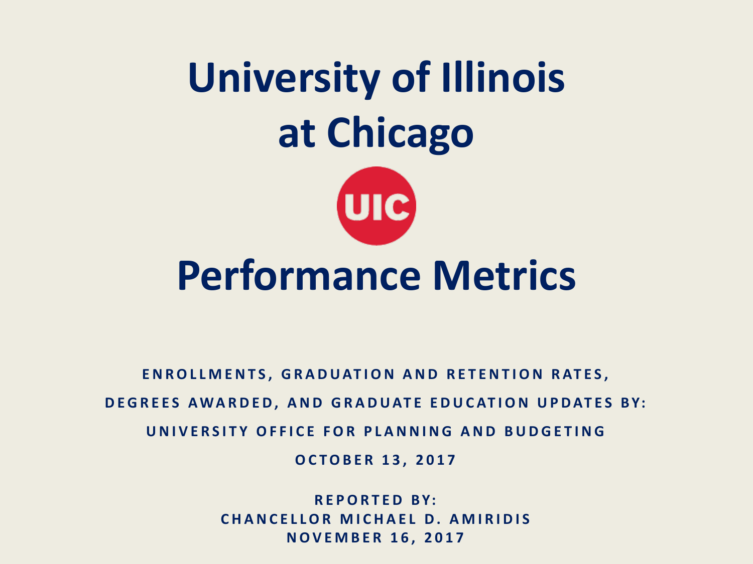# **University of Illinois at Chicago**



## **Performance Metrics**

**ENROLLMENTS, GRADUATION AND RETENTION RATES,** 

**DEGREES AWARDED, AND GRADUATE EDUCATION UPDATES BY:**

**UNIVERSITY OFFICE FOR PLANNING AND BUDGETING**

**OCTOBER 13, 2017**

**REPORTED BY: CHANCELLOR MICHAEL D. AMIRIDIS NOVEMBER 16, 2017**

Reported to the Board of Trustees November 16, 2017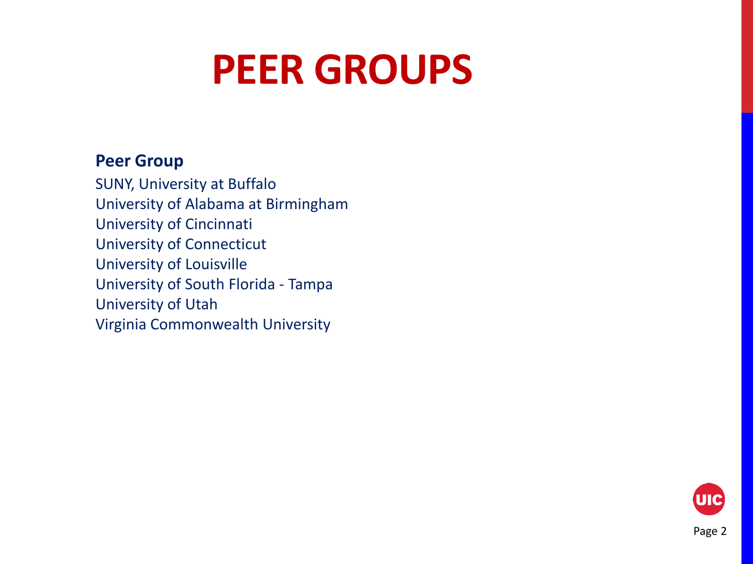## **PEER GROUPS**

#### **Peer Group**

SUNY, University at Buffalo University of Alabama at Birmingham University of Cincinnati University of Connecticut University of Louisville University of South Florida - Tampa University of Utah Virginia Commonwealth University

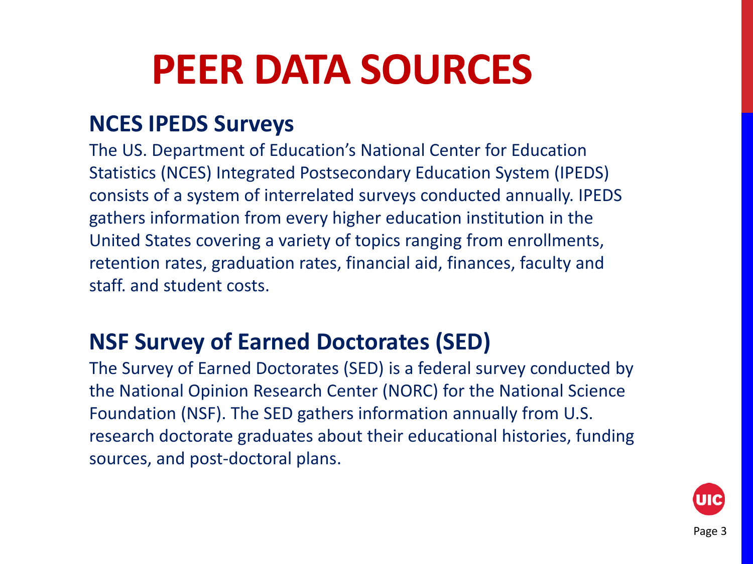## **PEER DATA SOURCES**

#### **NCES IPEDS Surveys**

The US. Department of Education's National Center for Education Statistics (NCES) Integrated Postsecondary Education System (IPEDS) consists of a system of interrelated surveys conducted annually. IPEDS gathers information from every higher education institution in the United States covering a variety of topics ranging from enrollments, retention rates, graduation rates, financial aid, finances, faculty and staff. and student costs.

#### **NSF Survey of Earned Doctorates (SED)**

The Survey of Earned Doctorates (SED) is a federal survey conducted by the National Opinion Research Center (NORC) for the National Science Foundation (NSF). The SED gathers information annually from U.S. research doctorate graduates about their educational histories, funding sources, and post-doctoral plans.

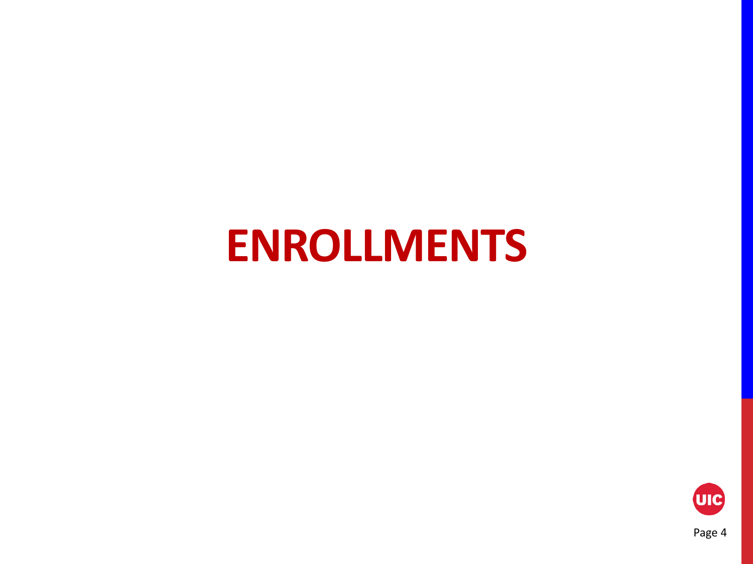## **ENROLLMENTS**

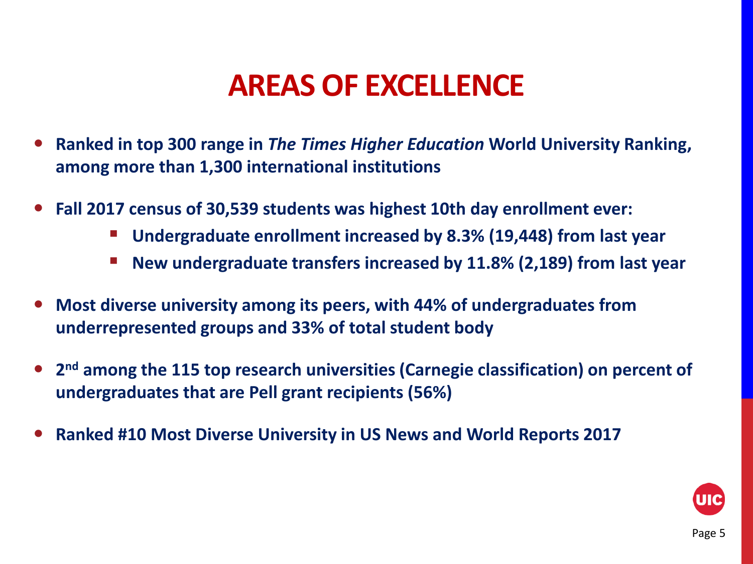### **AREAS OF EXCELLENCE**

- **Ranked in top 300 range in** *The Times Higher Education* **World University Ranking, among more than 1,300 international institutions**
- **Fall 2017 census of 30,539 students was highest 10th day enrollment ever:**
	- **Undergraduate enrollment increased by 8.3% (19,448) from last year**
	- New undergraduate transfers increased by 11.8% (2,189) from last year
- **Most diverse university among its peers, with 44% of undergraduates from underrepresented groups and 33% of total student body**
- **2nd among the 115 top research universities (Carnegie classification) on percent of undergraduates that are Pell grant recipients (56%)**
- **Ranked #10 Most Diverse University in US News and World Reports 2017**

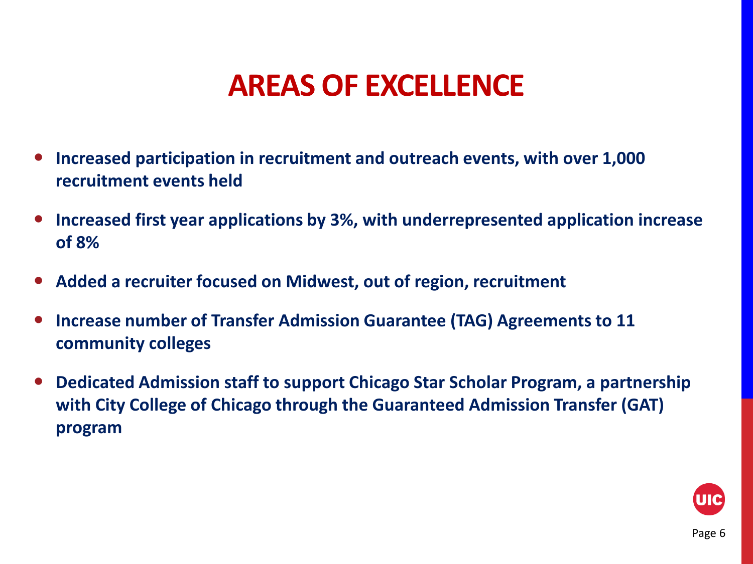### **AREAS OF EXCELLENCE**

- **Increased participation in recruitment and outreach events, with over 1,000 recruitment events held**
- **Increased first year applications by 3%, with underrepresented application increase of 8%**
- **Added a recruiter focused on Midwest, out of region, recruitment**
- **Increase number of Transfer Admission Guarantee (TAG) Agreements to 11 community colleges**
- **Dedicated Admission staff to support Chicago Star Scholar Program, a partnership with City College of Chicago through the Guaranteed Admission Transfer (GAT) program**

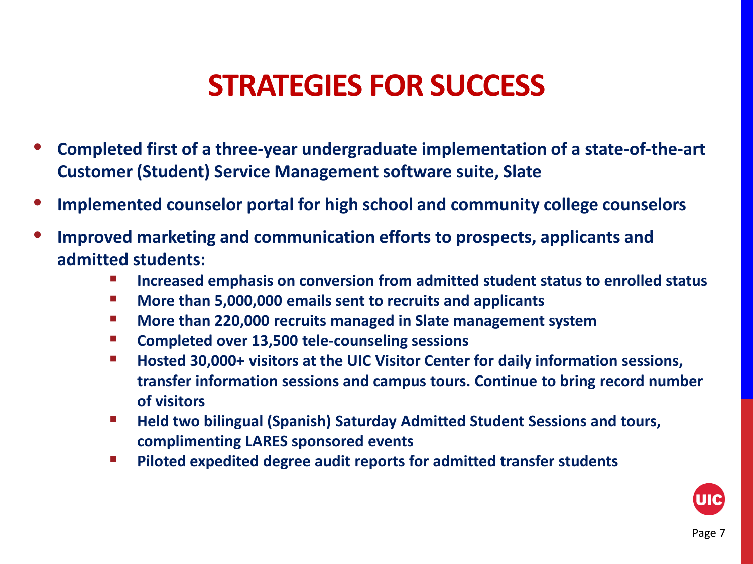### **STRATEGIES FOR SUCCESS**

- **Completed first of a three-year undergraduate implementation of a state-of-the-art Customer (Student) Service Management software suite, Slate**
- **Implemented counselor portal for high school and community college counselors**
- **Improved marketing and communication efforts to prospects, applicants and admitted students:**
	- **Increased emphasis on conversion from admitted student status to enrolled status**
	- **More than 5,000,000 emails sent to recruits and applicants**
	- **More than 220,000 recruits managed in Slate management system**
	- **Completed over 13,500 tele-counseling sessions**
	- Hosted 30,000+ visitors at the UIC Visitor Center for daily information sessions, **transfer information sessions and campus tours. Continue to bring record number of visitors**
	- **Held two bilingual (Spanish) Saturday Admitted Student Sessions and tours, complimenting LARES sponsored events**
	- **Piloted expedited degree audit reports for admitted transfer students**

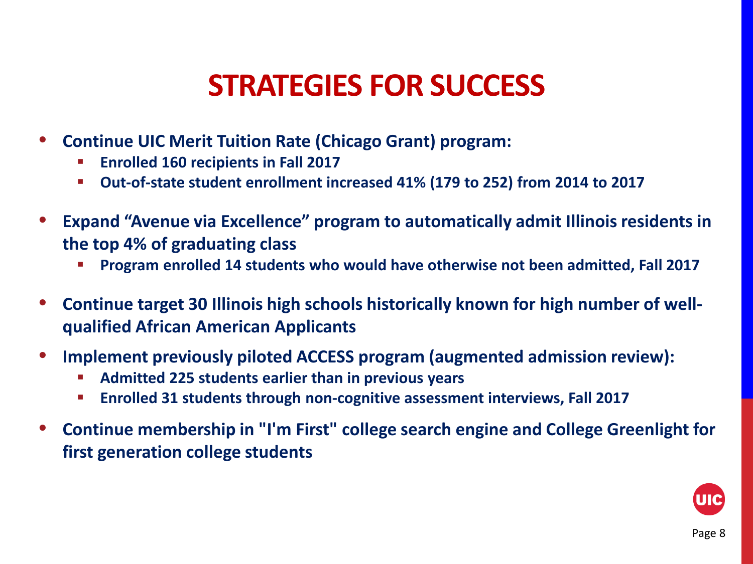### **STRATEGIES FOR SUCCESS**

- **Continue UIC Merit Tuition Rate (Chicago Grant) program:**
	- **Enrolled 160 recipients in Fall 2017**
	- **Out-of-state student enrollment increased 41% (179 to 252) from 2014 to 2017**
- **Expand "Avenue via Excellence" program to automatically admit Illinois residents in the top 4% of graduating class**
	- **Program enrolled 14 students who would have otherwise not been admitted, Fall 2017**
- **Continue target 30 Illinois high schools historically known for high number of wellqualified African American Applicants**
- **Implement previously piloted ACCESS program (augmented admission review):**
	- **Admitted 225 students earlier than in previous years**
	- **Enrolled 31 students through non-cognitive assessment interviews, Fall 2017**
- **Continue membership in "I'm First" college search engine and College Greenlight for first generation college students**

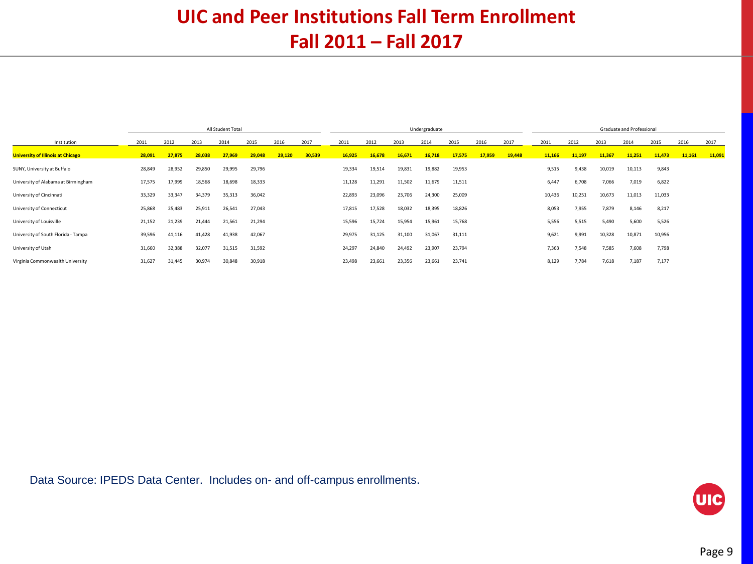#### **UIC and Peer Institutions Fall Term Enrollment Fall 2011 – Fall 2017**

|                                          | All Student Total |        |        |        |        | Undergraduate |        |        |        |        |        | Graduate and Professional |        |        |        |        |        |        |        |        |        |
|------------------------------------------|-------------------|--------|--------|--------|--------|---------------|--------|--------|--------|--------|--------|---------------------------|--------|--------|--------|--------|--------|--------|--------|--------|--------|
| Institution                              | 2011              | 2012   | 2013   | 2014   | 2015   | 2016          | 2017   | 2011   | 2012   | 2013   | 2014   | 2015                      | 2016   | 2017   | 2011   | 2012   | 2013   | 2014   | 2015   | 2016   | 2017   |
| <b>University of Illinois at Chicago</b> | 28,091            | 27,875 | 28.038 | 27,969 | 29,048 | 29,120        | 30,539 | 16,925 | 16,678 | 16,671 | 16,718 | 17,575                    | 17,959 | 19,448 | 11,166 | 11,197 | 11,367 | 11,251 | 11,473 | 11,161 | 11,091 |
| SUNY, University at Buffalo              | 28,849            | 28,952 | 29,850 | 29,995 | 29,796 |               |        | 19,334 | 19,514 | 19,831 | 19,882 | 19,953                    |        |        | 9,515  | 9,438  | 10,019 | 10,113 | 9,843  |        |        |
| University of Alabama at Birmingham      | 17,575            | 17.999 | 18,568 | 18,698 | 18,333 |               |        | 11,128 | 11,291 | 11,502 | 11,679 | 11,511                    |        |        | 6,447  | 6,708  | 7,066  | 7,019  | 6,822  |        |        |
| University of Cincinnati                 | 33,329            | 33,347 | 34,379 | 35,313 | 36,042 |               |        | 22,893 | 23,096 | 23,706 | 24,300 | 25,009                    |        |        | 10,436 | 10,251 | 10,673 | 11,013 | 11,033 |        |        |
| University of Connecticut                | 25,868            | 25.483 | 25,911 | 26,541 | 27,043 |               |        | 17,815 | 17,528 | 18,032 | 18,395 | 18,826                    |        |        | 8,053  | 7,955  | 7,879  | 8.146  | 8,217  |        |        |
| University of Louisville                 | 21,152            | 21,239 | 21,444 | 21,561 | 21,294 |               |        | 15,596 | 15,724 | 15,954 | 15,961 | 15,768                    |        |        | 5,556  | 5,515  | 5,490  | 5,600  | 5,526  |        |        |
| University of South Florida - Tampa      | 39,596            | 41,116 | 41,428 | 41,938 | 42,067 |               |        | 29,975 | 31,125 | 31,100 | 31,067 | 31,111                    |        |        | 9,621  | 9,991  | 10,328 | 10,871 | 10,956 |        |        |
| University of Utah                       | 31,660            | 32,388 | 32,077 | 31,515 | 31,592 |               |        | 24,297 | 24,840 | 24,492 | 23,907 | 23,794                    |        |        | 7,363  | 7,548  | 7,585  | 7,608  | 7,798  |        |        |
| Virginia Commonwealth University         | 31,627            | 31,445 | 30,974 | 30,848 | 30,918 |               |        | 23,498 | 23,661 | 23,356 | 23,661 | 23,741                    |        |        | 8,129  | 7,784  | 7,618  | 7,187  | 7,177  |        |        |

Data Source: IPEDS Data Center. Includes on- and off-campus enrollments.

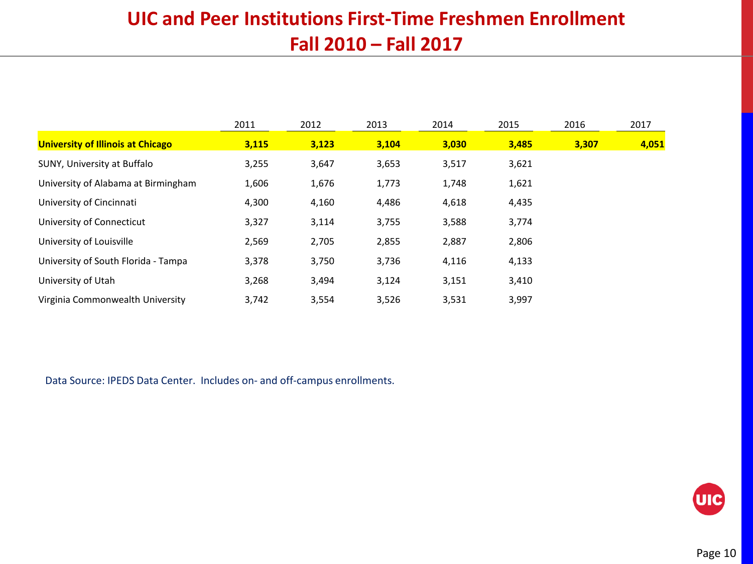#### **UIC and Peer Institutions First-Time Freshmen Enrollment Fall 2010 – Fall 2017**

|                                          | 2011  | 2012  | 2013  | 2014  | 2015  | 2016  | 2017  |
|------------------------------------------|-------|-------|-------|-------|-------|-------|-------|
| <b>University of Illinois at Chicago</b> | 3,115 | 3,123 | 3,104 | 3,030 | 3,485 | 3,307 | 4,051 |
| SUNY, University at Buffalo              | 3,255 | 3,647 | 3,653 | 3,517 | 3,621 |       |       |
| University of Alabama at Birmingham      | 1,606 | 1,676 | 1,773 | 1,748 | 1,621 |       |       |
| University of Cincinnati                 | 4,300 | 4,160 | 4,486 | 4,618 | 4,435 |       |       |
| University of Connecticut                | 3,327 | 3,114 | 3,755 | 3,588 | 3,774 |       |       |
| University of Louisville                 | 2,569 | 2,705 | 2,855 | 2,887 | 2,806 |       |       |
| University of South Florida - Tampa      | 3,378 | 3,750 | 3,736 | 4,116 | 4,133 |       |       |
| University of Utah                       | 3,268 | 3,494 | 3,124 | 3,151 | 3,410 |       |       |
| Virginia Commonwealth University         | 3,742 | 3,554 | 3,526 | 3,531 | 3,997 |       |       |

Data Source: IPEDS Data Center. Includes on- and off-campus enrollments.

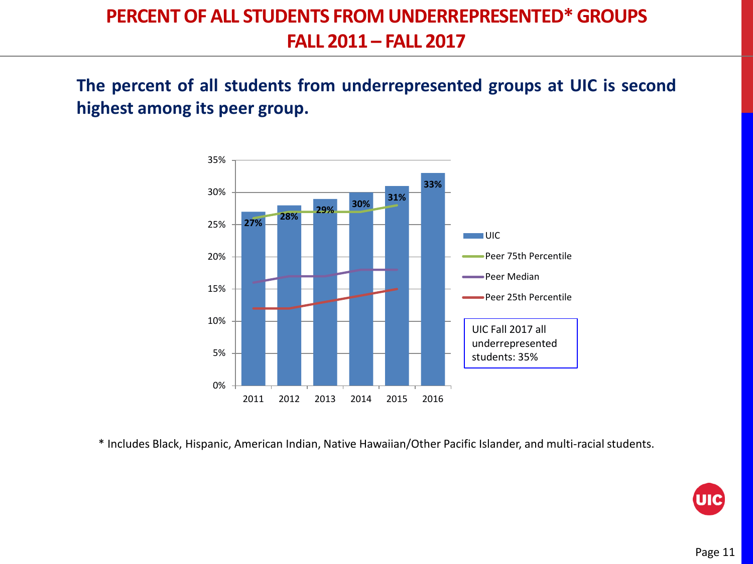#### **PERCENT OF ALL STUDENTS FROM UNDERREPRESENTED\* GROUPS FALL 2011 – FALL 2017**

**The percent of all students from underrepresented groups at UIC is second highest among its peer group.**



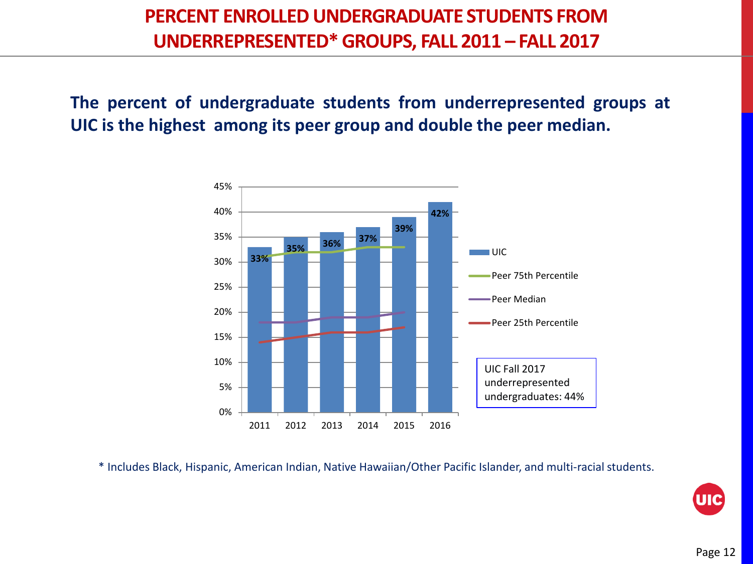#### **PERCENT ENROLLED UNDERGRADUATE STUDENTS FROM UNDERREPRESENTED\* GROUPS, FALL 2011 – FALL 2017**

**The percent of undergraduate students from underrepresented groups at UIC is the highest among its peer group and double the peer median.**

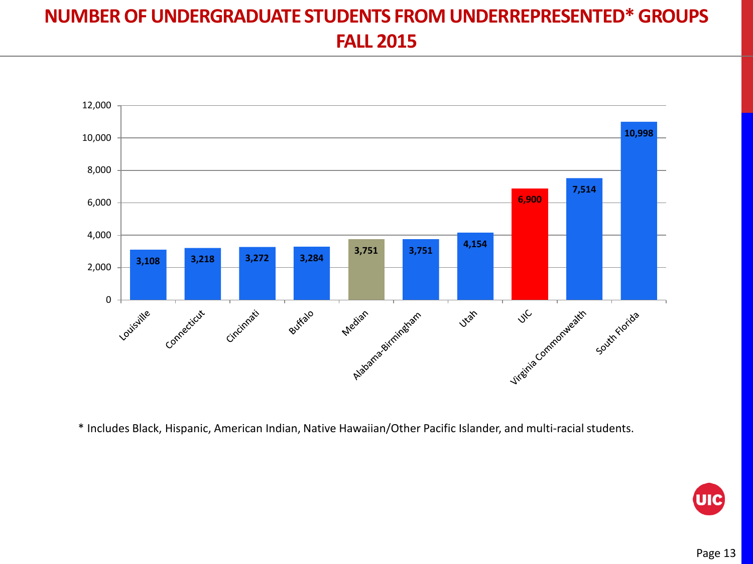#### **NUMBER OF UNDERGRADUATE STUDENTS FROM UNDERREPRESENTED\* GROUPS FALL 2015**



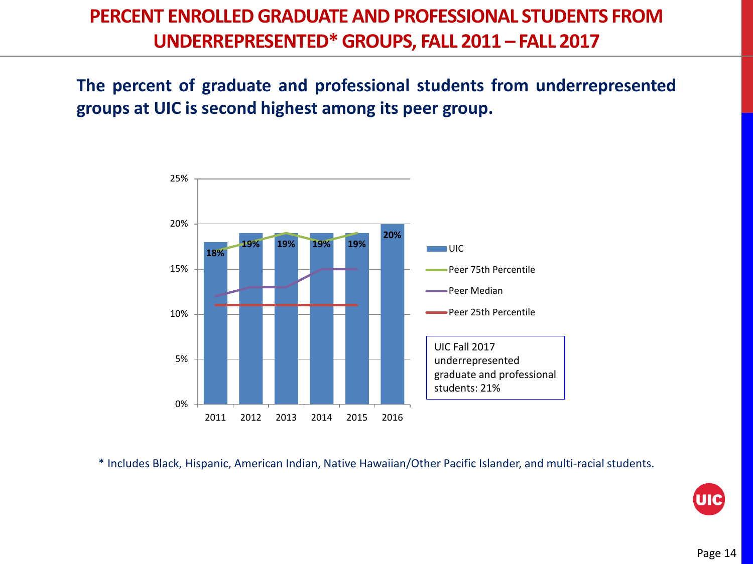#### **PERCENT ENROLLED GRADUATE AND PROFESSIONAL STUDENTS FROM UNDERREPRESENTED\* GROUPS, FALL 2011 – FALL 2017**

**The percent of graduate and professional students from underrepresented groups at UIC is second highest among its peer group.**



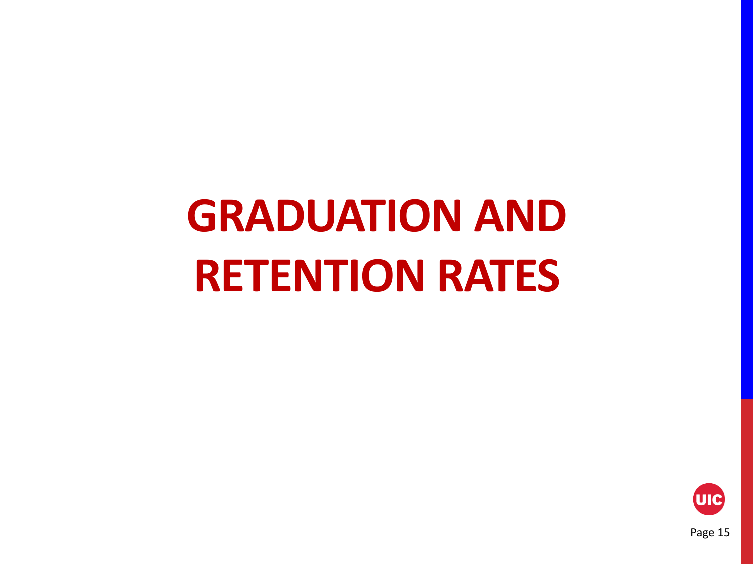# **GRADUATION AND RETENTION RATES**

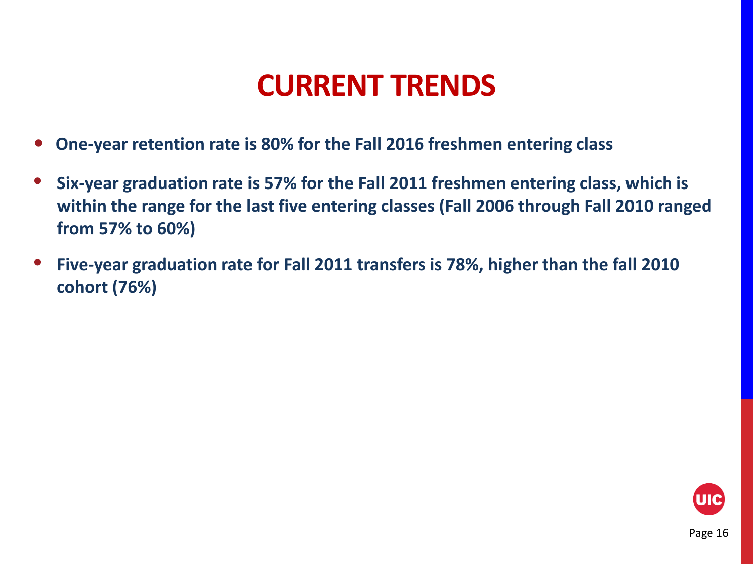### **CURRENT TRENDS**

- **One-year retention rate is 80% for the Fall 2016 freshmen entering class**
- **Six-year graduation rate is 57% for the Fall 2011 freshmen entering class, which is within the range for the last five entering classes (Fall 2006 through Fall 2010 ranged from 57% to 60%)**
- **Five-year graduation rate for Fall 2011 transfers is 78%, higher than the fall 2010 cohort (76%)**

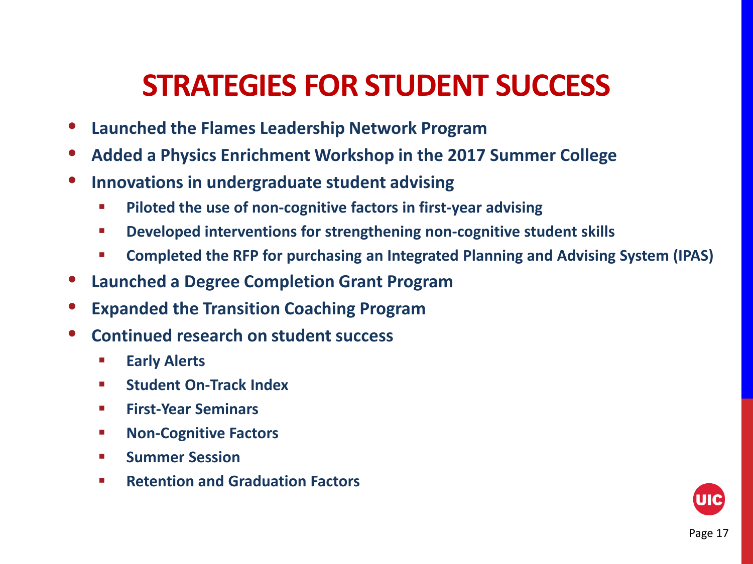### **STRATEGIES FOR STUDENT SUCCESS**

- **Launched the Flames Leadership Network Program**
- **Added a Physics Enrichment Workshop in the 2017 Summer College**
- **Innovations in undergraduate student advising**
	- **Piloted the use of non-cognitive factors in first-year advising**
	- **Developed interventions for strengthening non-cognitive student skills**
	- **Completed the RFP for purchasing an Integrated Planning and Advising System (IPAS)**
- **Launched a Degree Completion Grant Program**
- **Expanded the Transition Coaching Program**
- **Continued research on student success**
	- **Early Alerts**
	- **Student On-Track Index**
	- **First-Year Seminars**
	- **Non-Cognitive Factors**
	- **E** Summer Session
	- **Retention and Graduation Factors**

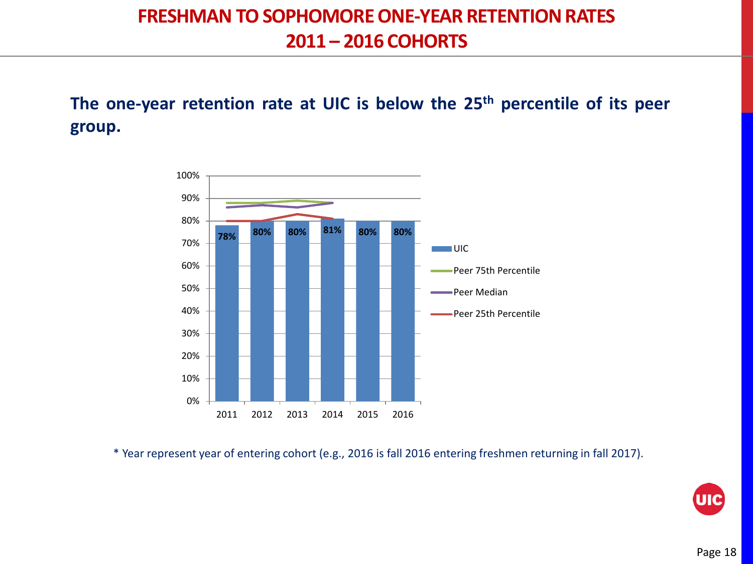#### **FRESHMAN TO SOPHOMORE ONE-YEAR RETENTION RATES 2011 – 2016 COHORTS**

**The one-year retention rate at UIC is below the 25th percentile of its peer group.**



\* Year represent year of entering cohort (e.g., 2016 is fall 2016 entering freshmen returning in fall 2017).

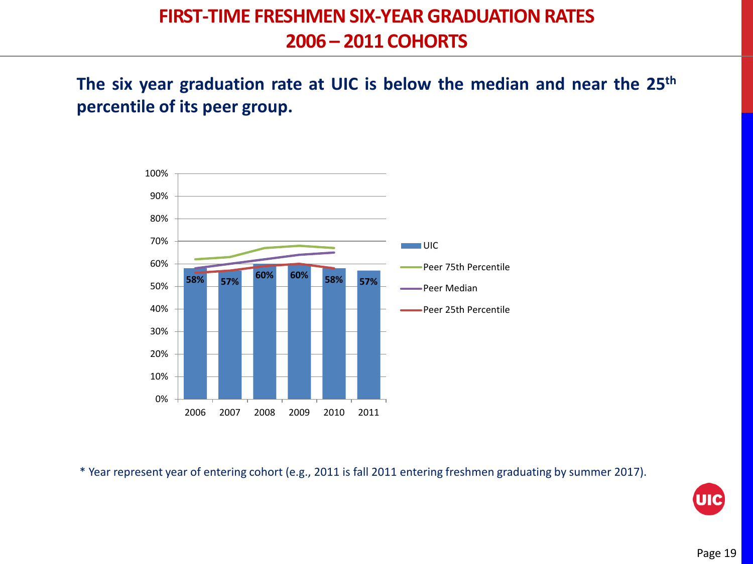**The six year graduation rate at UIC is below the median and near the 25th percentile of its peer group.**



\* Year represent year of entering cohort (e.g., 2011 is fall 2011 entering freshmen graduating by summer 2017).

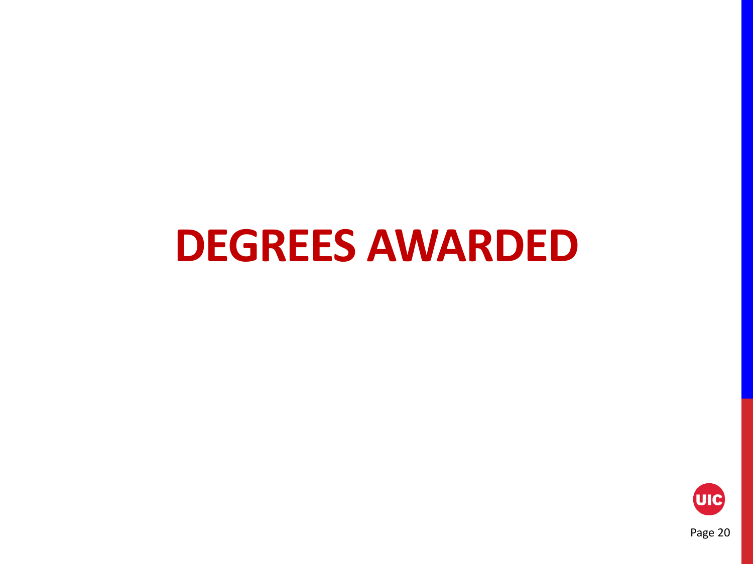## **DEGREES AWARDED**



Page 20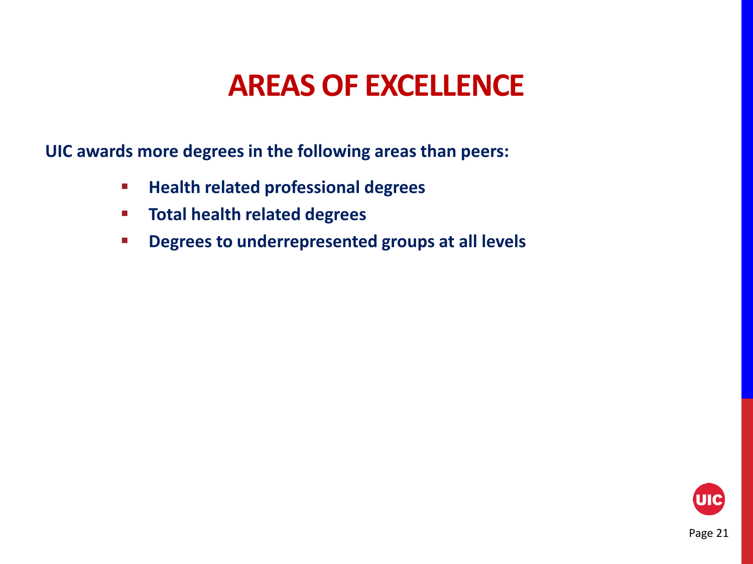### **AREAS OF EXCELLENCE**

**UIC awards more degrees in the following areas than peers:**

- **Health related professional degrees**
- **Total health related degrees**
- **Degrees to underrepresented groups at all levels**

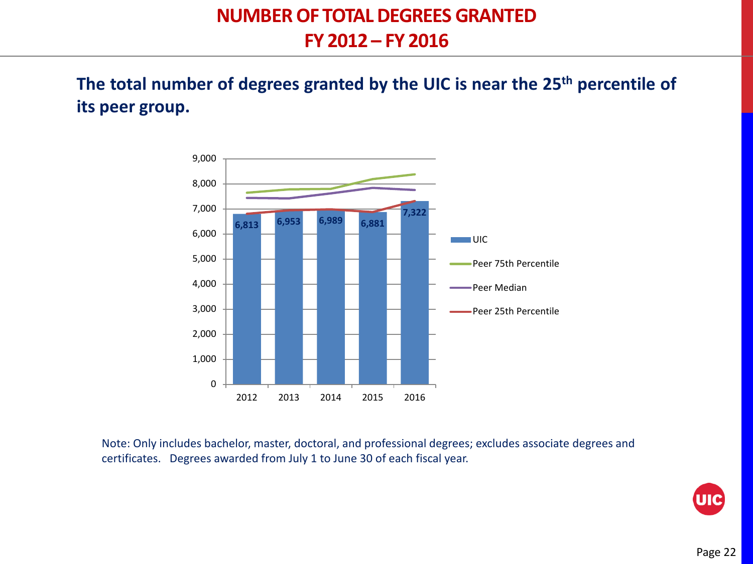**The total number of degrees granted by the UIC is near the 25th percentile of its peer group.**



Note: Only includes bachelor, master, doctoral, and professional degrees; excludes associate degrees and certificates. Degrees awarded from July 1 to June 30 of each fiscal year.

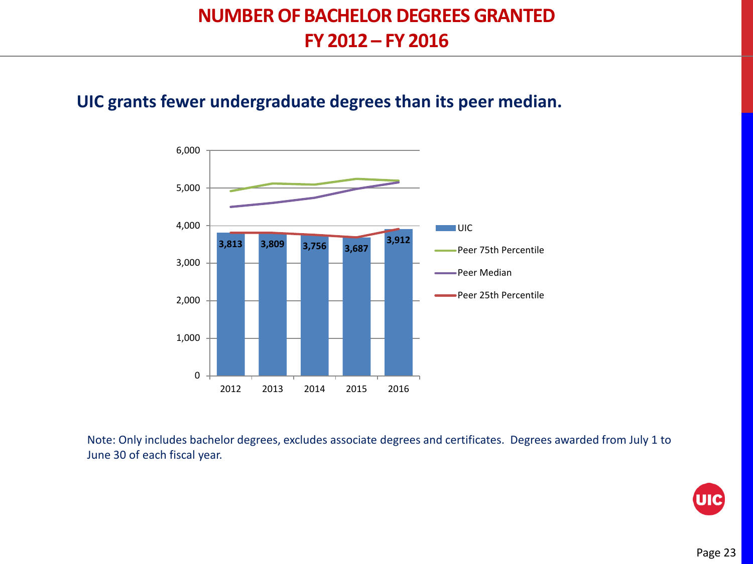#### **NUMBER OF BACHELOR DEGREES GRANTED FY 2012 – FY 2016**

#### **UIC grants fewer undergraduate degrees than its peer median.**



Note: Only includes bachelor degrees, excludes associate degrees and certificates. Degrees awarded from July 1 to June 30 of each fiscal year.

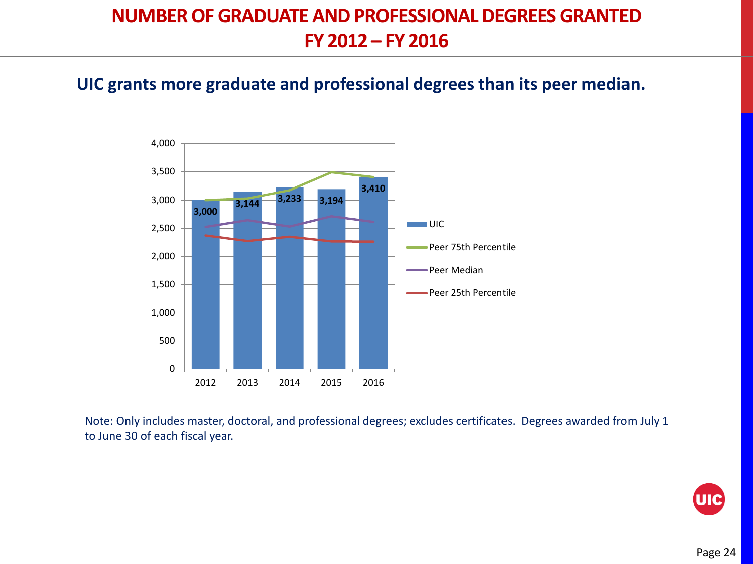#### **NUMBER OF GRADUATE AND PROFESSIONAL DEGREES GRANTED FY 2012 – FY 2016**

#### **UIC grants more graduate and professional degrees than its peer median.**



Note: Only includes master, doctoral, and professional degrees; excludes certificates. Degrees awarded from July 1 to June 30 of each fiscal year.

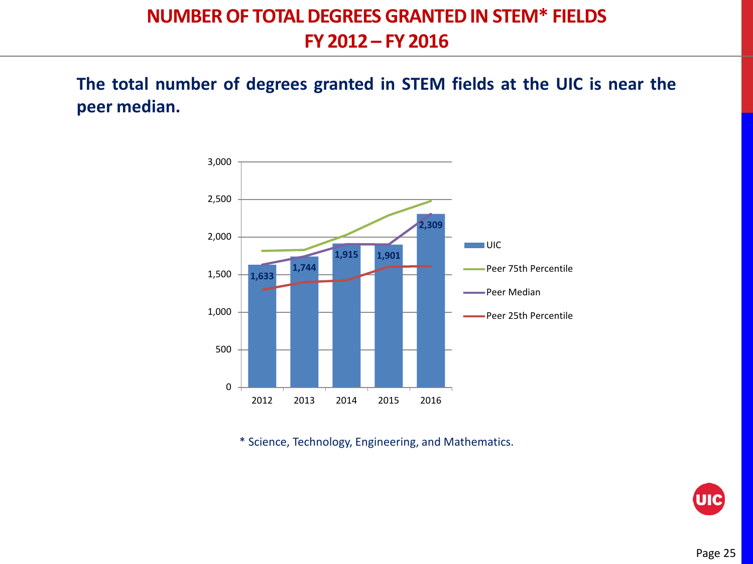#### **NUMBER OF TOTAL DEGREES GRANTED IN STEM\* FIELDS FY 2012 – FY 2016**

**The total number of degrees granted in STEM fields at the UIC is near the peer median.**



\* Science, Technology, Engineering, and Mathematics.

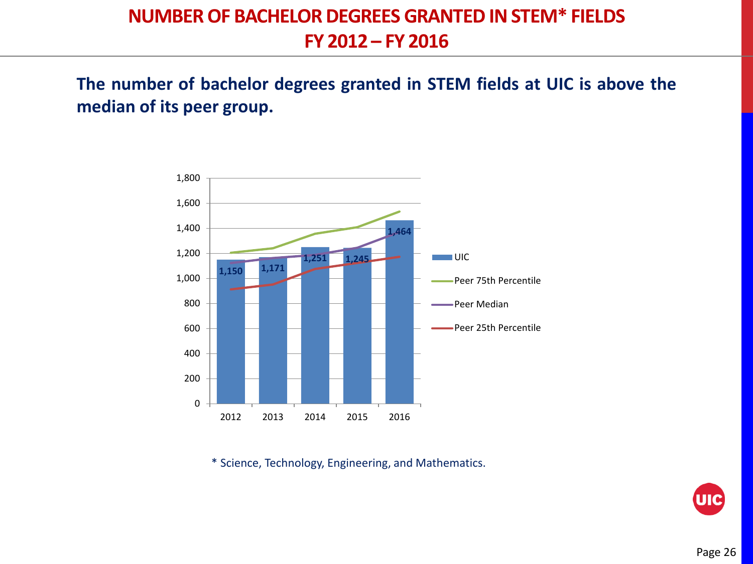#### **NUMBER OF BACHELOR DEGREES GRANTED IN STEM\* FIELDS FY 2012 – FY 2016**

**The number of bachelor degrees granted in STEM fields at UIC is above the median of its peer group.**



\* Science, Technology, Engineering, and Mathematics.

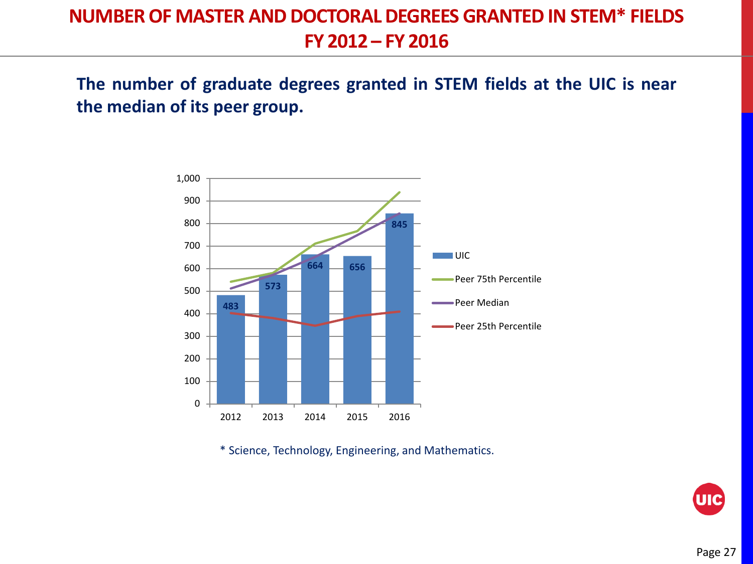#### **NUMBER OF MASTER AND DOCTORAL DEGREES GRANTED IN STEM\* FIELDS FY 2012 – FY 2016**

**The number of graduate degrees granted in STEM fields at the UIC is near the median of its peer group.**



\* Science, Technology, Engineering, and Mathematics.

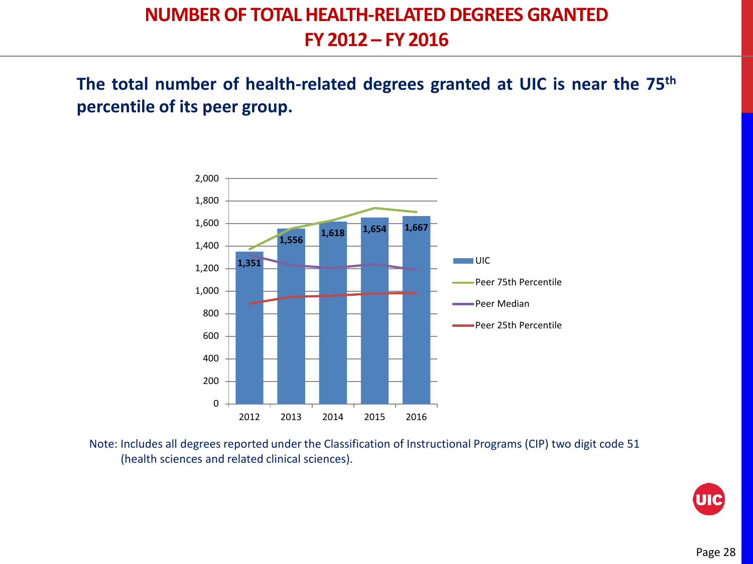#### **NUMBER OF TOTAL HEALTH-RELATED DEGREES GRANTED FY 2012 – FY 2016**

**The total number of health-related degrees granted at UIC is near the 75th percentile of its peer group.**



Note: Includes all degrees reported under the Classification of Instructional Programs (CIP) two digit code 51 (health sciences and related clinical sciences).

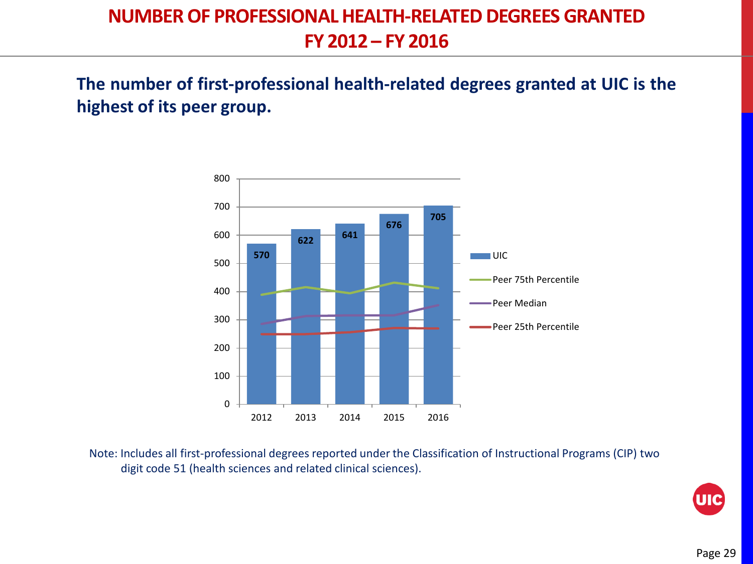#### **NUMBER OF PROFESSIONAL HEALTH-RELATED DEGREES GRANTED FY 2012 – FY 2016**

**The number of first-professional health-related degrees granted at UIC is the highest of its peer group.**



Note: Includes all first-professional degrees reported under the Classification of Instructional Programs (CIP) two digit code 51 (health sciences and related clinical sciences).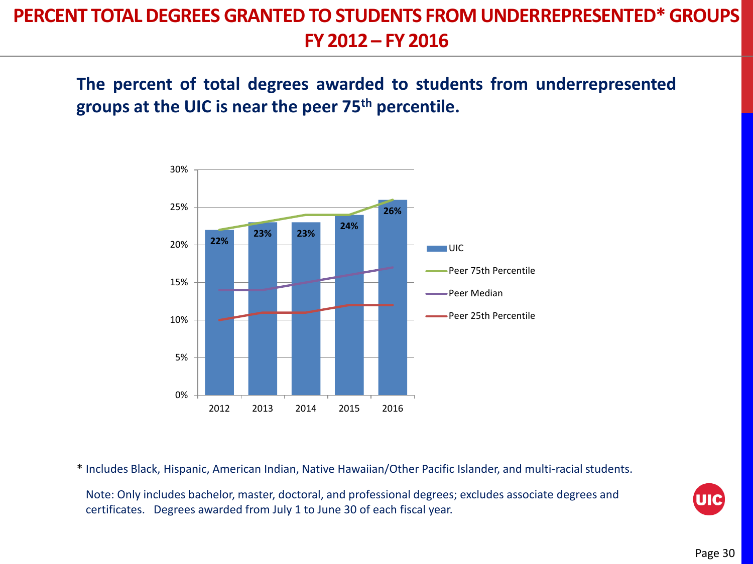#### **PERCENT TOTAL DEGREES GRANTED TO STUDENTS FROM UNDERREPRESENTED\*GROUPS FY 2012 – FY 2016**

**The percent of total degrees awarded to students from underrepresented groups at the UIC is near the peer 75th percentile.**



\* Includes Black, Hispanic, American Indian, Native Hawaiian/Other Pacific Islander, and multi-racial students.

Note: Only includes bachelor, master, doctoral, and professional degrees; excludes associate degrees and certificates. Degrees awarded from July 1 to June 30 of each fiscal year.

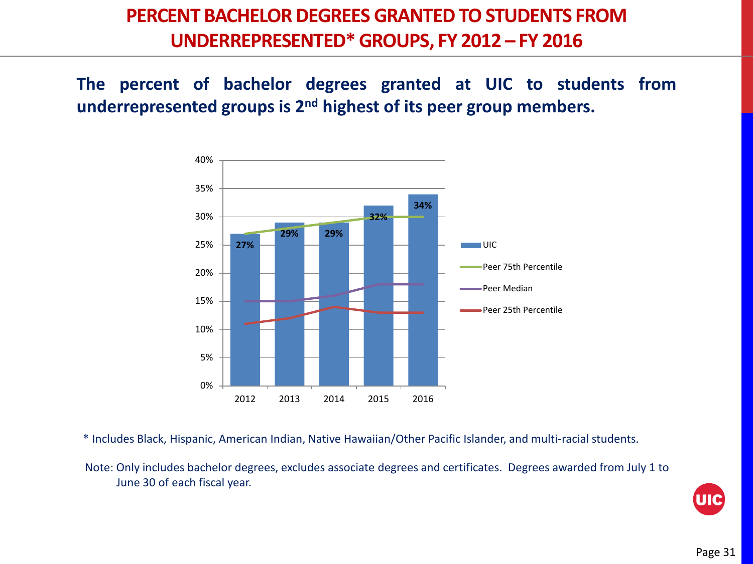#### **PERCENT BACHELOR DEGREES GRANTED TO STUDENTS FROM UNDERREPRESENTED\* GROUPS, FY 2012 – FY 2016**

**The percent of bachelor degrees granted at UIC to students from underrepresented groups is 2nd highest of its peer group members.**



\* Includes Black, Hispanic, American Indian, Native Hawaiian/Other Pacific Islander, and multi-racial students.

Note: Only includes bachelor degrees, excludes associate degrees and certificates. Degrees awarded from July 1 to June 30 of each fiscal year.

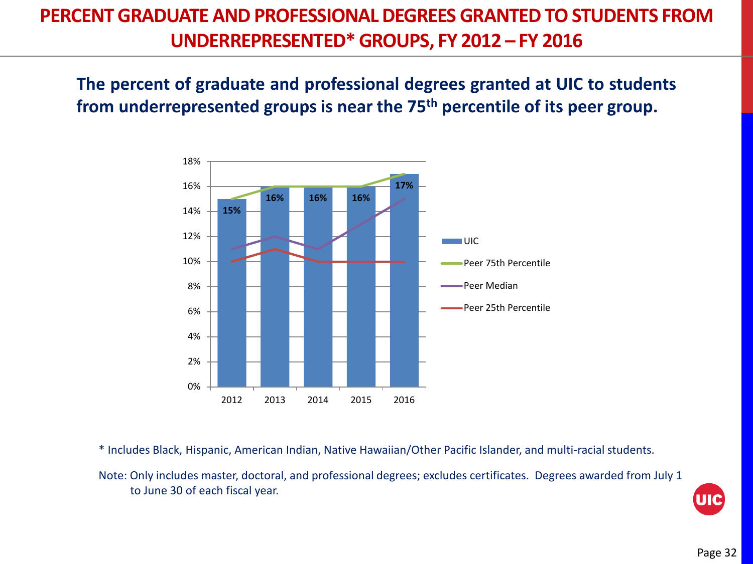#### **PERCENT GRADUATE AND PROFESSIONAL DEGREES GRANTED TO STUDENTS FROM UNDERREPRESENTED\* GROUPS, FY 2012 – FY 2016**

**The percent of graduate and professional degrees granted at UIC to students from underrepresented groups is near the 75th percentile of its peer group.**



\* Includes Black, Hispanic, American Indian, Native Hawaiian/Other Pacific Islander, and multi-racial students.

Note: Only includes master, doctoral, and professional degrees; excludes certificates. Degrees awarded from July 1 to June 30 of each fiscal year.

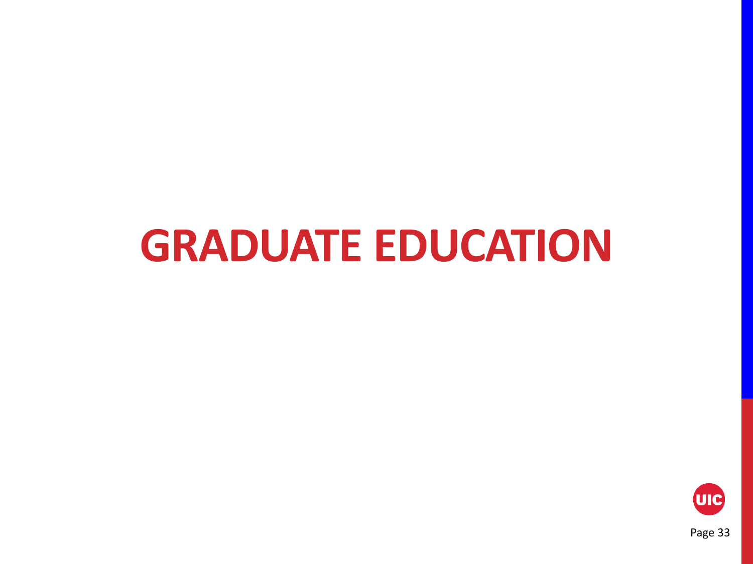## **GRADUATE EDUCATION**

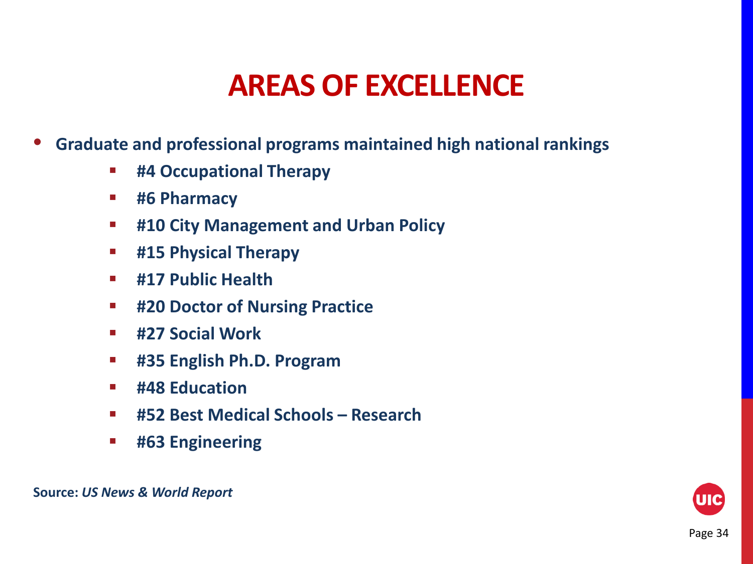### **AREAS OF EXCELLENCE**

- **Graduate and professional programs maintained high national rankings** 
	- **#4 Occupational Therapy**
	- **#6 Pharmacy**
	- **#10 City Management and Urban Policy**
	- **#15 Physical Therapy**
	- **#17 Public Health**
	- **#20 Doctor of Nursing Practice**
	- **#27 Social Work**
	- **#35 English Ph.D. Program**
	- **#48 Education**
	- **#52 Best Medical Schools – Research**
	- **#63 Engineering**



**Source:** *US News & World Report*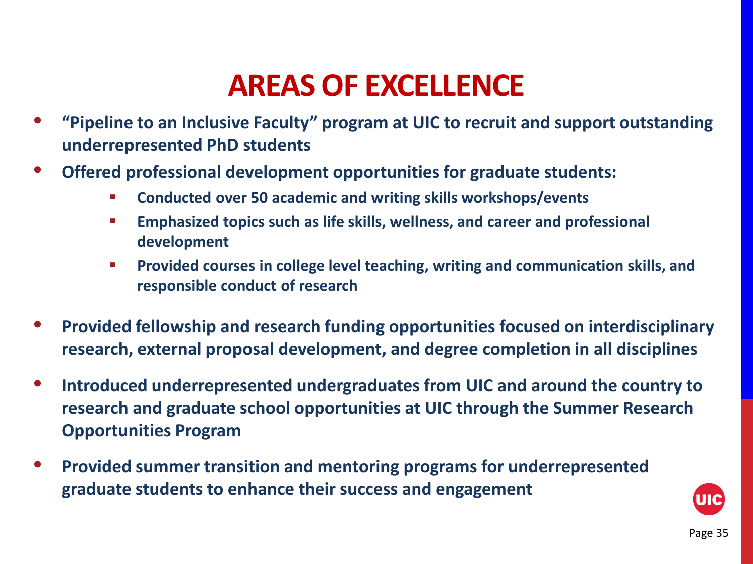### **AREAS OF EXCELLENCE**

- **"Pipeline to an Inclusive Faculty" program at UIC to recruit and support outstanding underrepresented PhD students**
- **Offered professional development opportunities for graduate students:** 
	- **Conducted over 50 academic and writing skills workshops/events**
	- **Emphasized topics such as life skills, wellness, and career and professional development**
	- **Provided courses in college level teaching, writing and communication skills, and responsible conduct of research**
- **Provided fellowship and research funding opportunities focused on interdisciplinary research, external proposal development, and degree completion in all disciplines**
- **Introduced underrepresented undergraduates from UIC and around the country to research and graduate school opportunities at UIC through the Summer Research Opportunities Program**
- **Provided summer transition and mentoring programs for underrepresented graduate students to enhance their success and engagement**

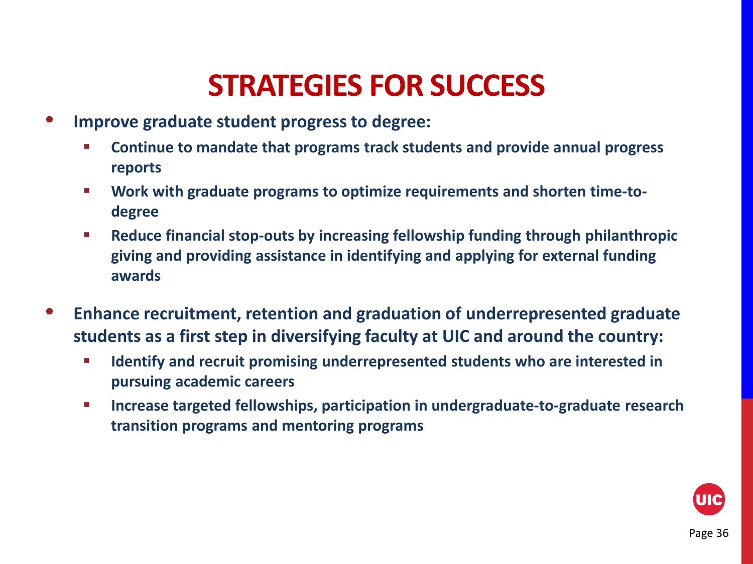### **STRATEGIES FOR SUCCESS**

- **Improve graduate student progress to degree:**
	- **Continue to mandate that programs track students and provide annual progress reports**
	- **Work with graduate programs to optimize requirements and shorten time-todegree**
	- **Reduce financial stop-outs by increasing fellowship funding through philanthropic giving and providing assistance in identifying and applying for external funding awards**
- **Enhance recruitment, retention and graduation of underrepresented graduate students as a first step in diversifying faculty at UIC and around the country:**
	- **Identify and recruit promising underrepresented students who are interested in pursuing academic careers**
	- **Increase targeted fellowships, participation in undergraduate-to-graduate research transition programs and mentoring programs**

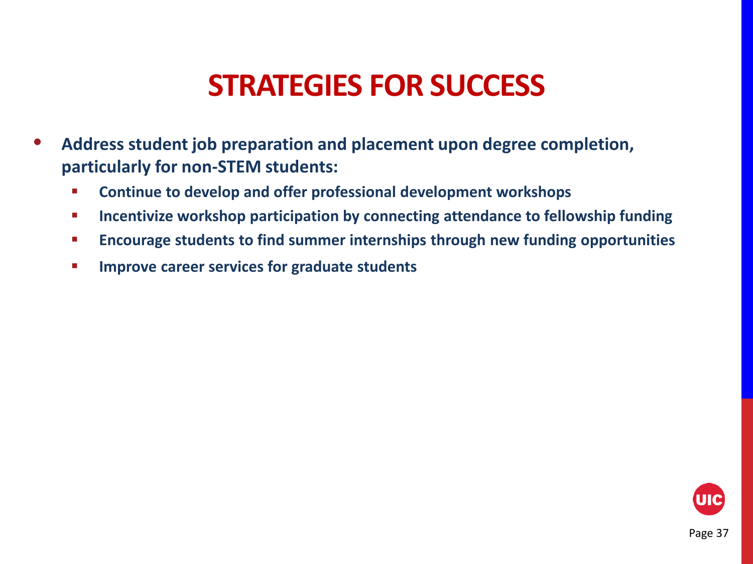### **STRATEGIES FOR SUCCESS**

- **Address student job preparation and placement upon degree completion, particularly for non-STEM students:**
	- **Continue to develop and offer professional development workshops**
	- **IDED 12 Incentivize workshop participation by connecting attendance to fellowship funding**
	- **Encourage students to find summer internships through new funding opportunities**
	- **IMPROVE CATELY SERVICES FOR STADUATE STATES**

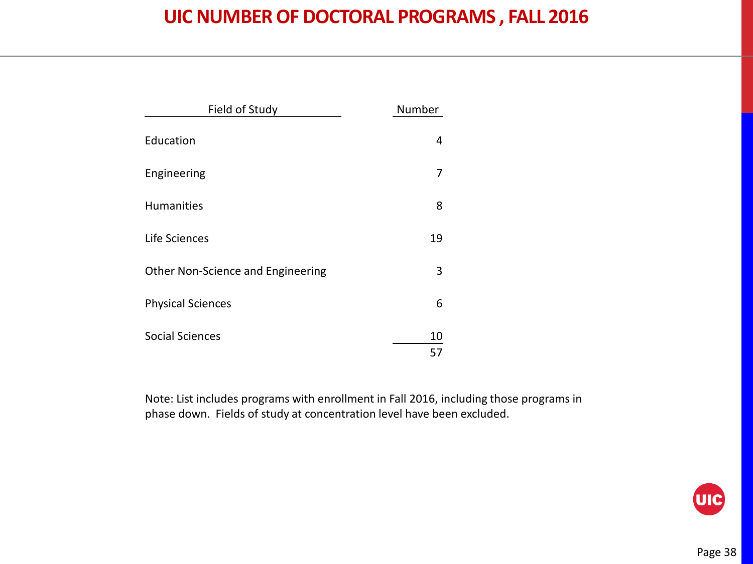#### **UIC NUMBER OF DOCTORAL PROGRAMS , FALL 2016**

| Field of Study                    | Number   |
|-----------------------------------|----------|
| Education                         | 4        |
| Engineering                       | 7        |
| Humanities                        | 8        |
| Life Sciences                     | 19       |
| Other Non-Science and Engineering | 3        |
| <b>Physical Sciences</b>          | 6        |
| <b>Social Sciences</b>            | 10<br>57 |

Note: List includes programs with enrollment in Fall 2016, including those programs in phase down. Fields of study at concentration level have been excluded.

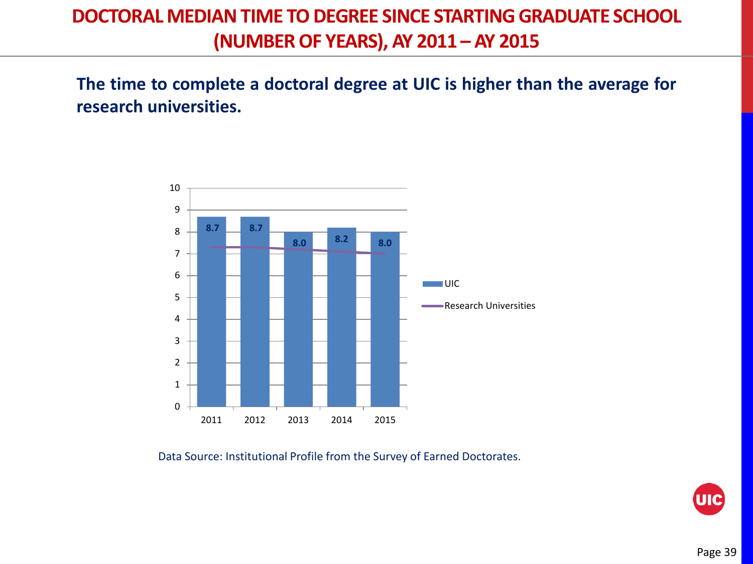#### **DOCTORAL MEDIAN TIME TO DEGREE SINCE STARTING GRADUATE SCHOOL (NUMBER OF YEARS), AY 2011 – AY 2015**

**The time to complete a doctoral degree at UIC is higher than the average for research universities.**



Data Source: Institutional Profile from the Survey of Earned Doctorates.

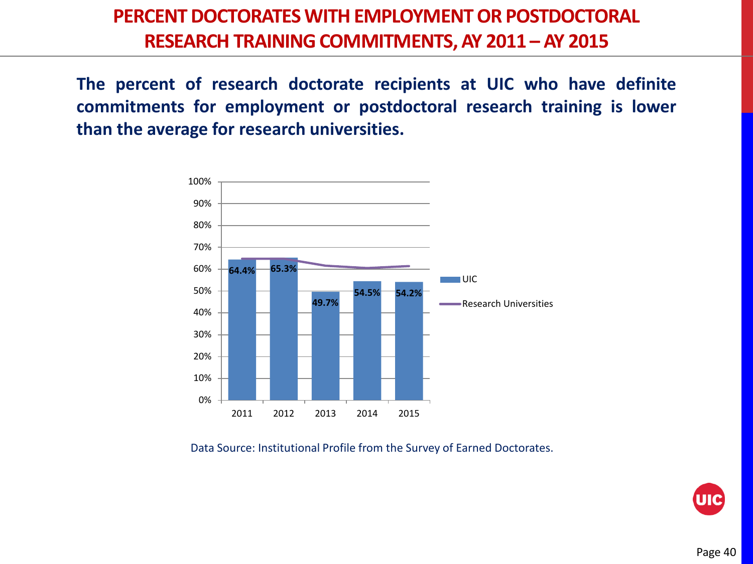#### **PERCENT DOCTORATES WITH EMPLOYMENT OR POSTDOCTORAL RESEARCH TRAINING COMMITMENTS, AY 2011 – AY 2015**

**The percent of research doctorate recipients at UIC who have definite commitments for employment or postdoctoral research training is lower than the average for research universities.**



Data Source: Institutional Profile from the Survey of Earned Doctorates.